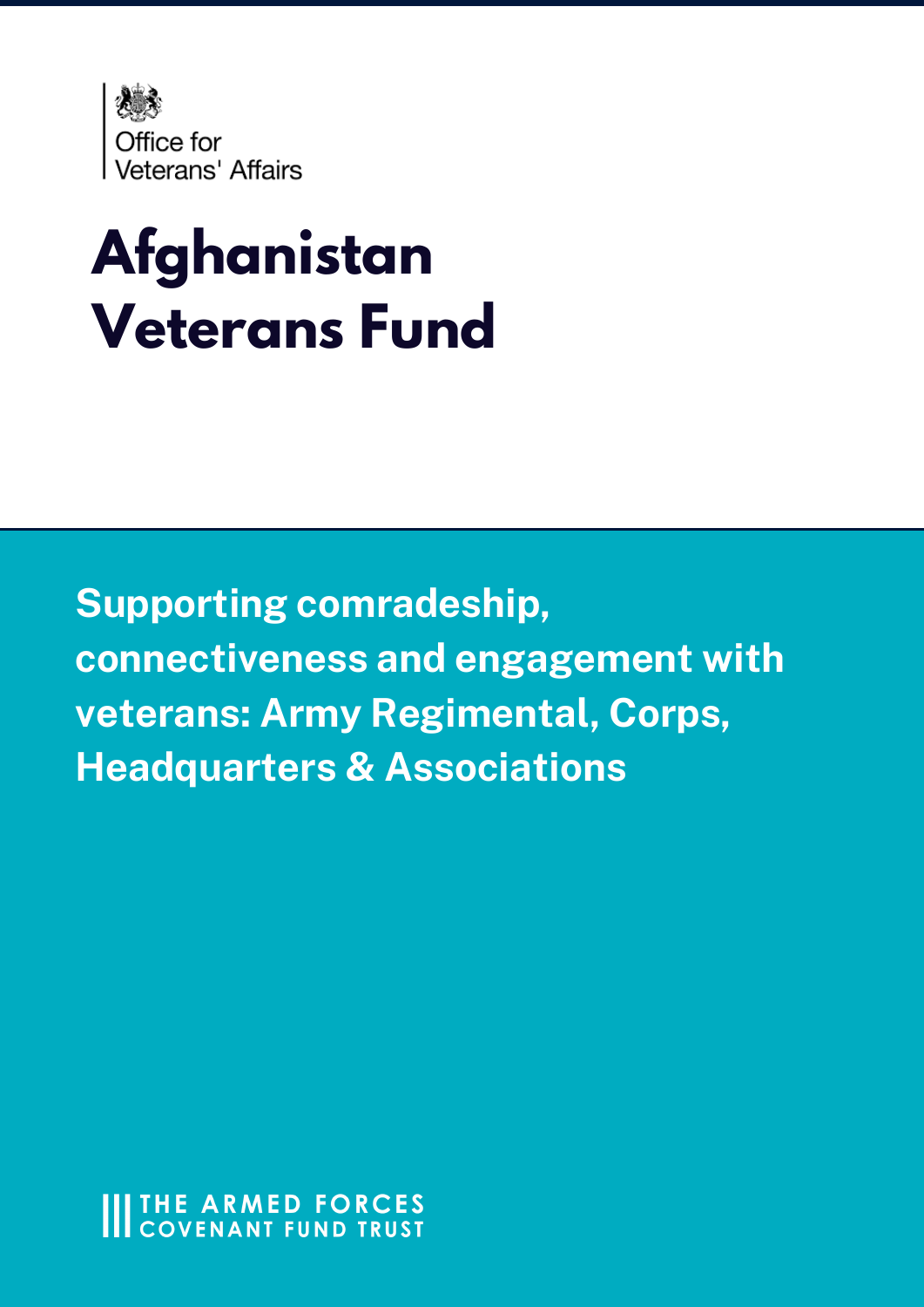

# **Afghanistan Veterans Fund**

Supporting comradeship, **connectiveness and engagement with** veterans: Army Regimental, Corps, **Headquarters & Associations-**

**IIITHE ARMED FORCES COVENANT FUND TRUST**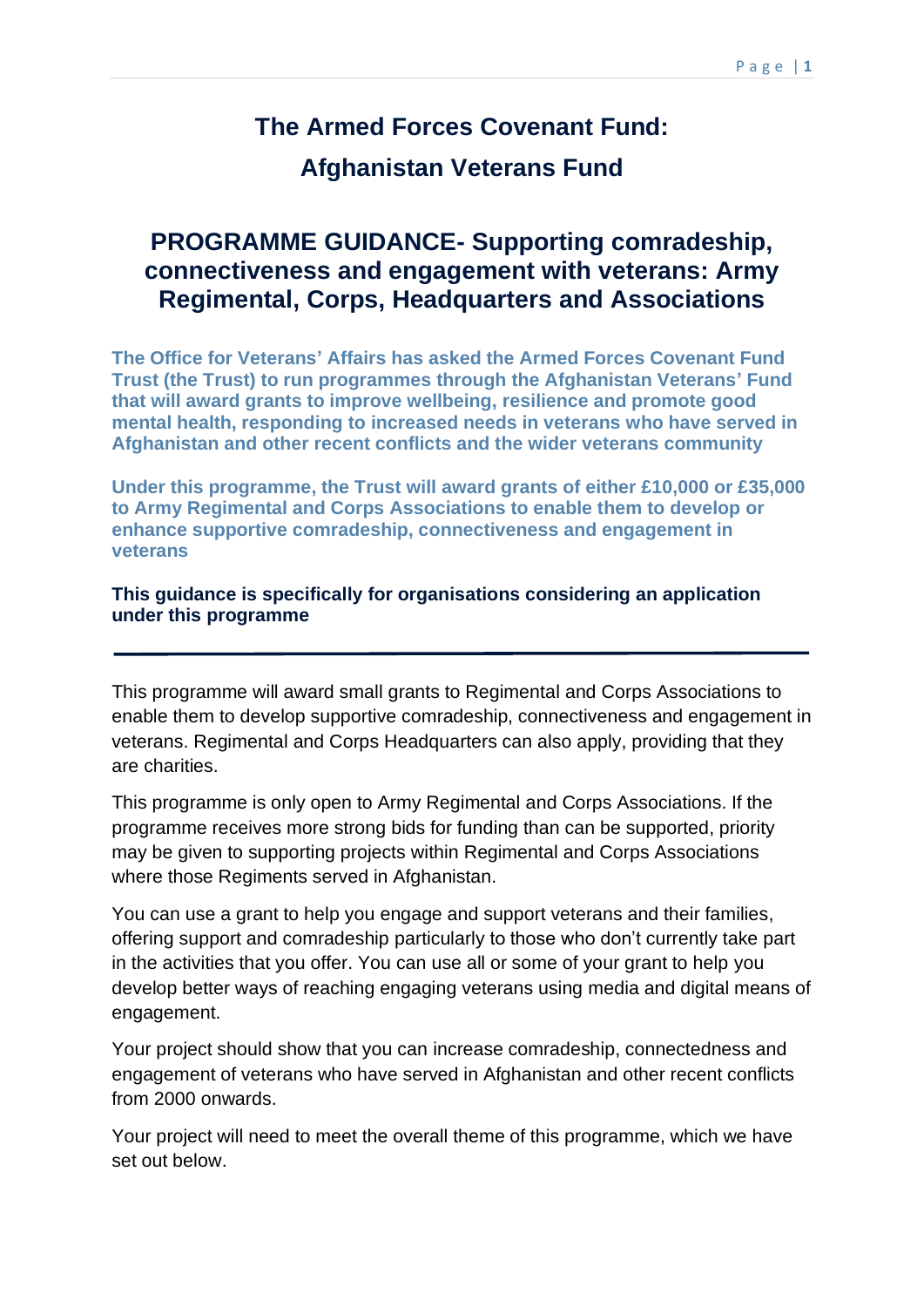## **The Armed Forces Covenant Fund:**

## **Afghanistan Veterans Fund**

## **connectiveness and engagement with veterans: Army PROGRAMME GUIDANCE- Supporting comradeship, Regimental, Corps, Headquarters and Associations**

 **The Office for Veterans' Affairs has asked the Armed Forces Covenant Fund Trust (the Trust) to run programmes through the Afghanistan Veterans' Fund that will award grants to improve wellbeing, resilience and promote good mental health, responding to increased needs in veterans who have served in Afghanistan and other recent conflicts and the wider veterans community** 

 **Under this programme, the Trust will award grants of either £10,000 or £35,000 to Army Regimental and Corps Associations to enable them to develop or enhance supportive comradeship, connectiveness and engagement in veterans** 

#### **This guidance is specifically for organisations considering an application under this programme**

 This programme will award small grants to Regimental and Corps Associations to enable them to develop supportive comradeship, connectiveness and engagement in veterans. Regimental and Corps Headquarters can also apply, providing that they are charities.

 This programme is only open to Army Regimental and Corps Associations. If the programme receives more strong bids for funding than can be supported, priority may be given to supporting projects within Regimental and Corps Associations where those Regiments served in Afghanistan.

 You can use a grant to help you engage and support veterans and their families, offering support and comradeship particularly to those who don't currently take part in the activities that you offer. You can use all or some of your grant to help you develop better ways of reaching engaging veterans using media and digital means of engagement.

 Your project should show that you can increase comradeship, connectedness and engagement of veterans who have served in Afghanistan and other recent conflicts from 2000 onwards.

 Your project will need to meet the overall theme of this programme, which we have set out below.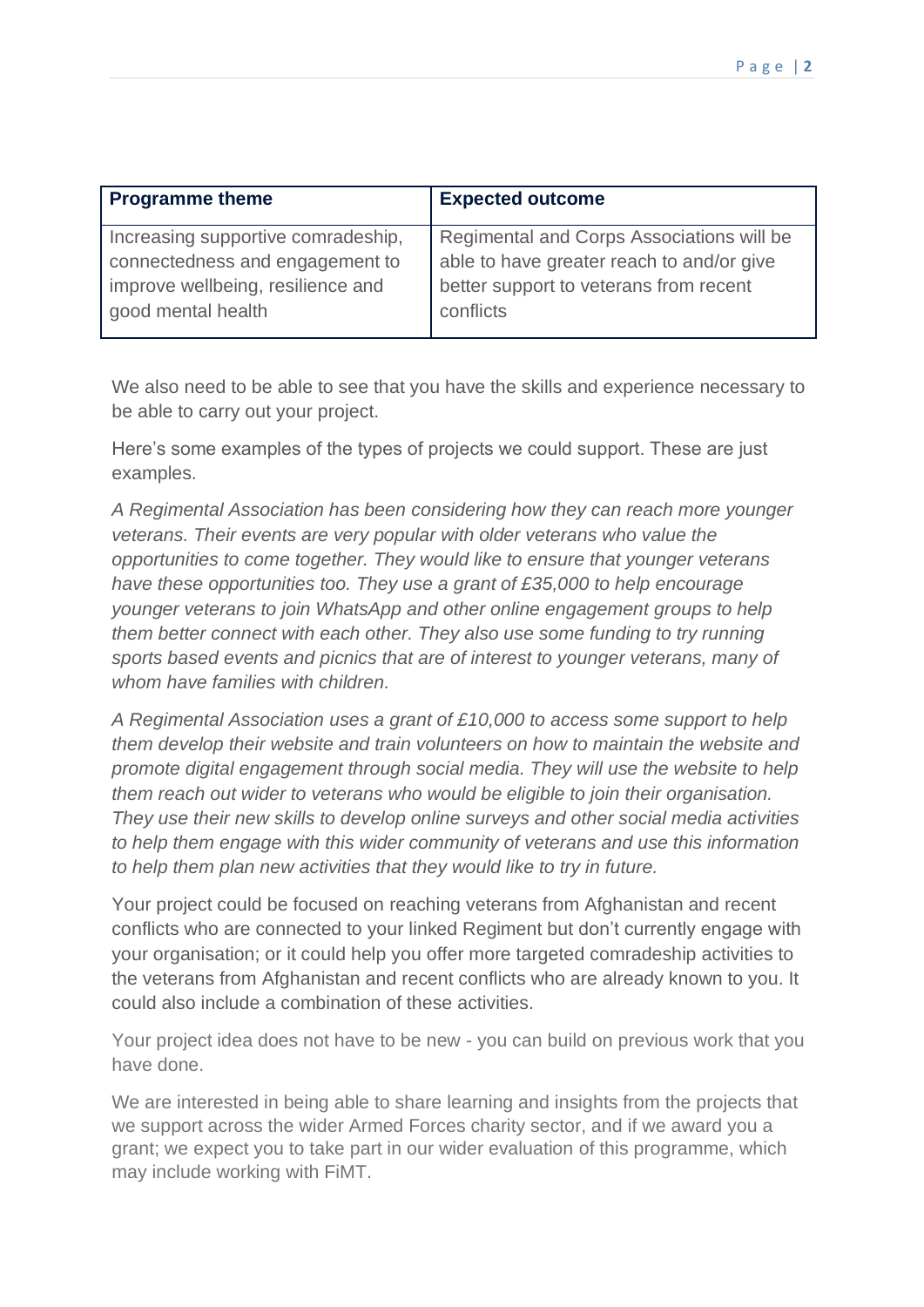| <b>Programme theme</b>             | <b>Expected outcome</b>                   |
|------------------------------------|-------------------------------------------|
| Increasing supportive comradeship, | Regimental and Corps Associations will be |
| connectedness and engagement to    | able to have greater reach to and/or give |
| improve wellbeing, resilience and  | better support to veterans from recent    |
| good mental health                 | conflicts                                 |
|                                    |                                           |

 We also need to be able to see that you have the skills and experience necessary to be able to carry out your project.

 Here's some examples of the types of projects we could support. These are just examples.

 *A Regimental Association has been considering how they can reach more younger*  veterans. Their events are very popular with older veterans who value the  *opportunities to come together. They would like to ensure that younger veterans*  have these opportunities too. They use a grant of £35,000 to help encourage  *younger veterans to join WhatsApp and other online engagement groups to help them better connect with each other. They also use some funding to try running*  sports based events and picnics that are of interest to younger veterans, many of *whom have families with children.* 

 *A Regimental Association uses a grant of £10,000 to access some support to help them develop their website and train volunteers on how to maintain the website and promote digital engagement through social media. They will use the website to help them reach out wider to veterans who would be eligible to join their organisation. They use their new skills to develop online surveys and other social media activities to help them engage with this wider community of veterans and use this information to help them plan new activities that they would like to try in future.* 

 Your project could be focused on reaching veterans from Afghanistan and recent conflicts who are connected to your linked Regiment but don't currently engage with your organisation; or it could help you offer more targeted comradeship activities to the veterans from Afghanistan and recent conflicts who are already known to you. It could also include a combination of these activities.

 Your project idea does not have to be new - you can build on previous work that you have done.

 We are interested in being able to share learning and insights from the projects that we support across the wider Armed Forces charity sector, and if we award you a grant; we expect you to take part in our wider evaluation of this programme, which may include working with FiMT.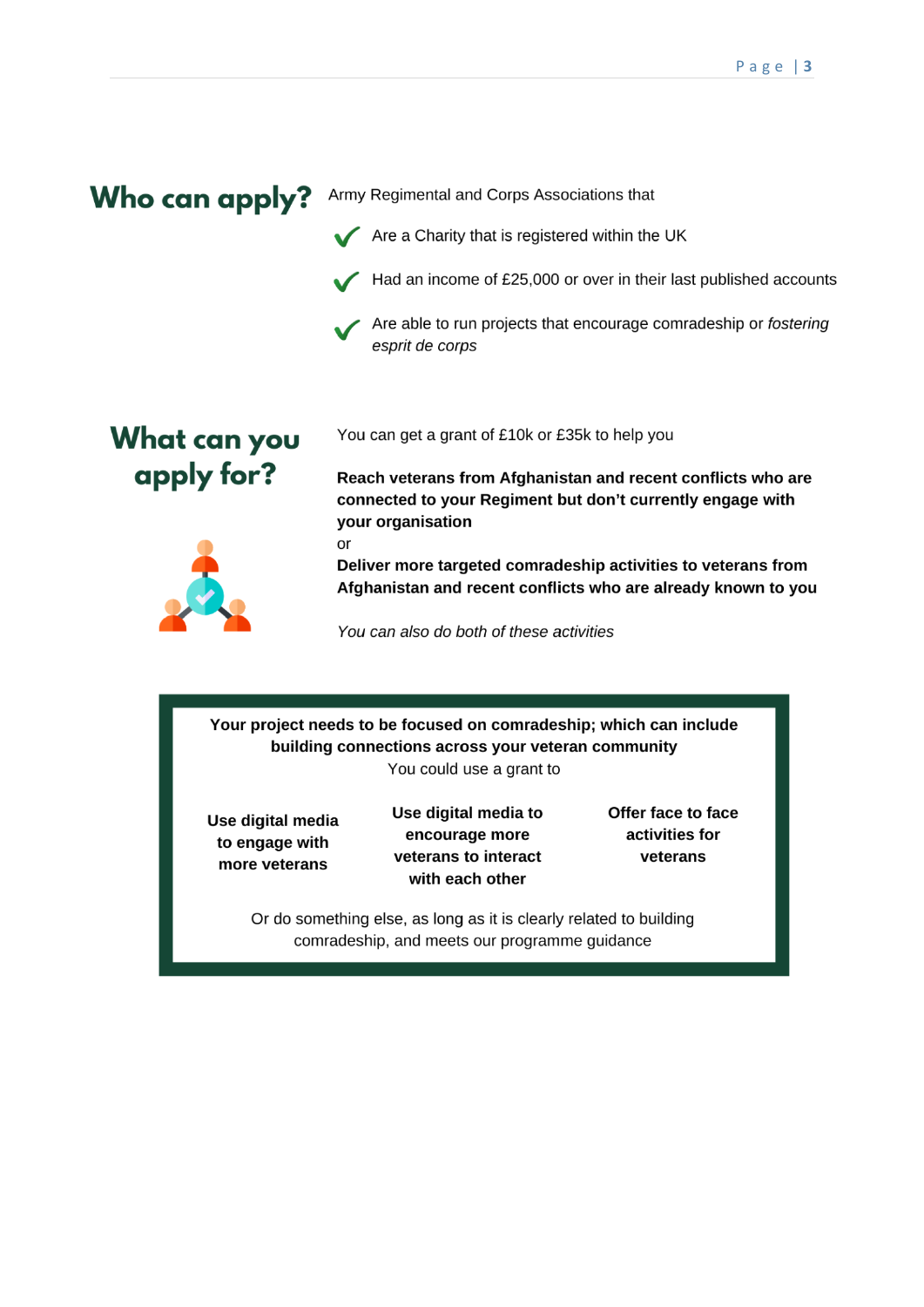## Who can apply? Army Regimental and Corps Associations that



or

- **v**  Had an income of £25,000 or over in their last published accounts
- **v**  Are able to run projects that encourage comradeship or fostering esprit de corps

## **What can you apply for?**

You can get a grant of £10k or £35k to help you

**Reach veterans from Afghanistan and recent conflicts who are connected to your Regiment but don't currently engage with your organisation** 



**Deliver more targeted comradeship activities to veterans from Afghanistan and recent conflicts who are already known to you** 

You can also do both of these activities

**Your project needs to be focused on comradeship; which can include building connections across your veteran community**  You could use a grant to

**Use digital media to engage with more veterans** 

**Use digital media to encourage more veterans to interact with each other** 

**Offer face to face activities for veterans** 

Or do something else, as long as it is clearly related to building comradeship, and meets our programme guidance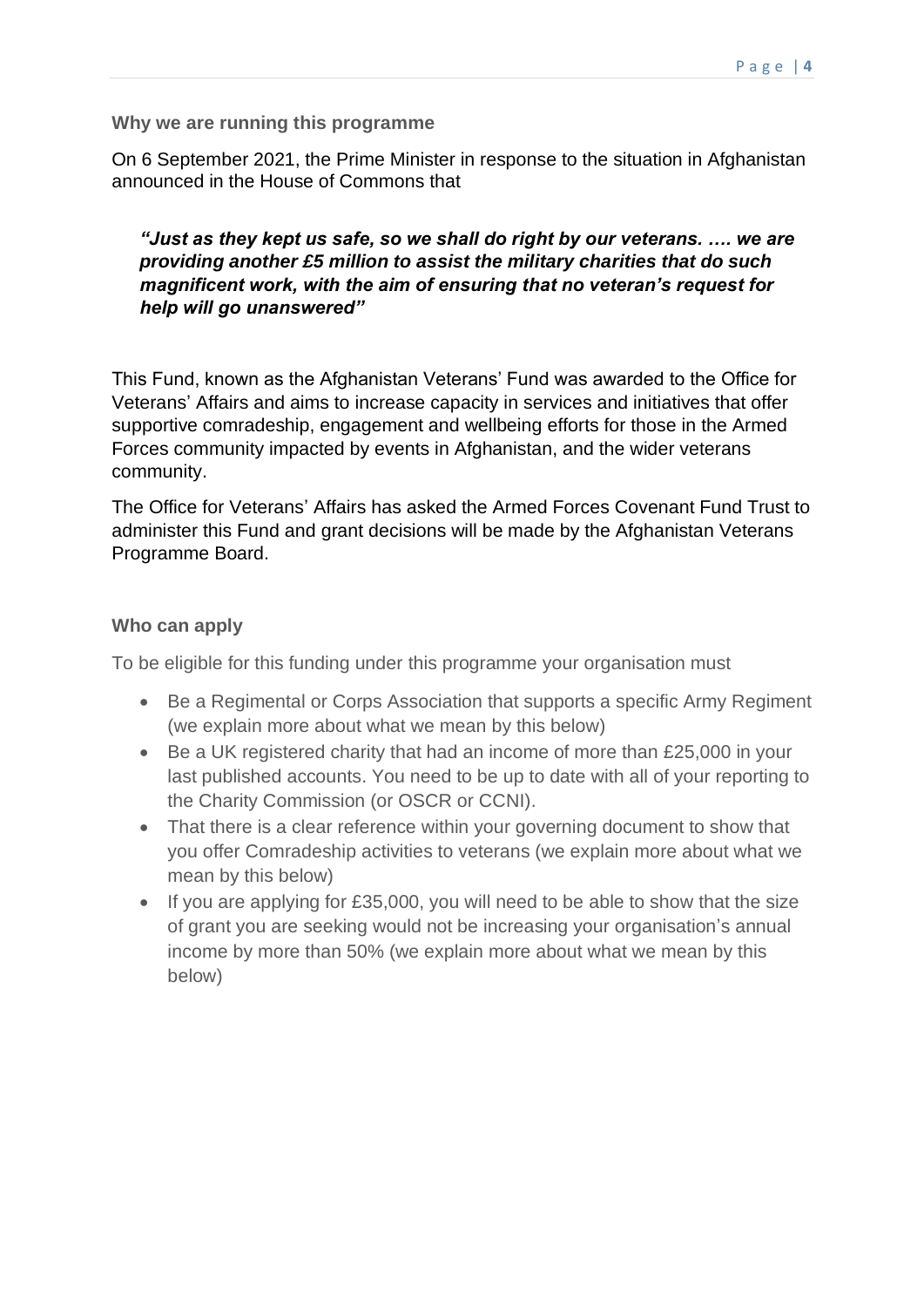#### **Why we are running this programme**

 On 6 September 2021, the Prime Minister in response to the situation in Afghanistan announced in the House of Commons that

#### *"Just as they kept us safe, so we shall do right by our veterans. …. we are providing another £5 million to assist the military charities that do such magnificent work, with the aim of ensuring that no veteran's request for help will go unanswered"*

 This Fund, known as the Afghanistan Veterans' Fund was awarded to the Office for Veterans' Affairs and aims to increase capacity in services and initiatives that offer supportive comradeship, engagement and wellbeing efforts for those in the Armed Forces community impacted by events in Afghanistan, and the wider veterans community.

 The Office for Veterans' Affairs has asked the Armed Forces Covenant Fund Trust to administer this Fund and grant decisions will be made by the Afghanistan Veterans Programme Board.

#### **Who can apply**

To be eligible for this funding under this programme your organisation must

- • Be a Regimental or Corps Association that supports a specific Army Regiment (we explain more about what we mean by this below)
- • Be a UK registered charity that had an income of more than £25,000 in your last published accounts. You need to be up to date with all of your reporting to the Charity Commission (or OSCR or CCNI).
- • That there is a clear reference within your governing document to show that you offer Comradeship activities to veterans (we explain more about what we mean by this below)
- • If you are applying for £35,000, you will need to be able to show that the size of grant you are seeking would not be increasing your organisation's annual income by more than 50% (we explain more about what we mean by this below)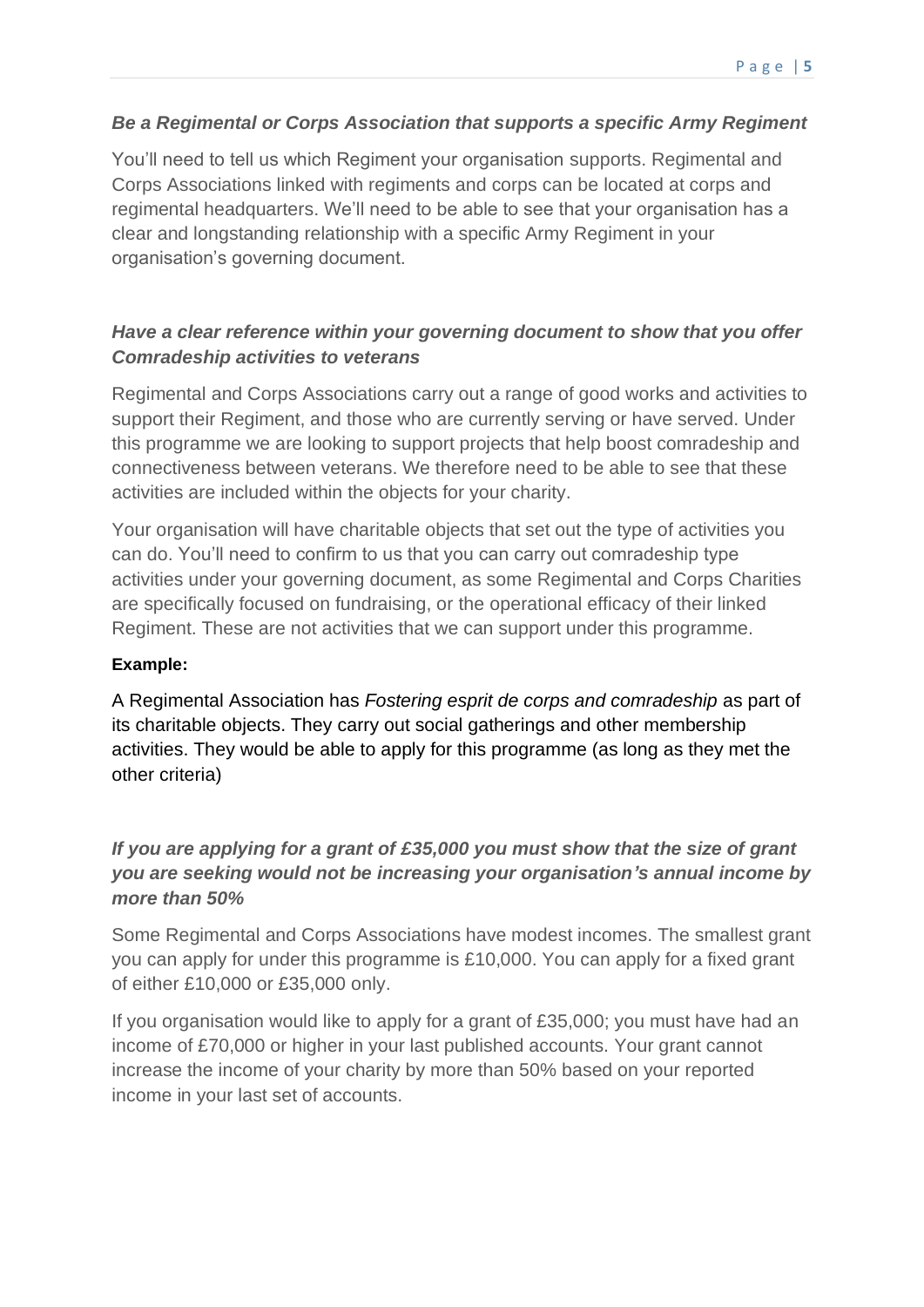### *Be a Regimental or Corps Association that supports a specific Army Regiment*

 You'll need to tell us which Regiment your organisation supports. Regimental and Corps Associations linked with regiments and corps can be located at corps and regimental headquarters. We'll need to be able to see that your organisation has a clear and longstanding relationship with a specific Army Regiment in your organisation's governing document.

## *Have a clear reference within your governing document to show that you offer Comradeship activities to veterans*

 Regimental and Corps Associations carry out a range of good works and activities to support their Regiment, and those who are currently serving or have served. Under this programme we are looking to support projects that help boost comradeship and connectiveness between veterans. We therefore need to be able to see that these activities are included within the objects for your charity.

 Your organisation will have charitable objects that set out the type of activities you can do. You'll need to confirm to us that you can carry out comradeship type activities under your governing document, as some Regimental and Corps Charities are specifically focused on fundraising, or the operational efficacy of their linked Regiment. These are not activities that we can support under this programme.

#### **Example:**

 A Regimental Association has *Fostering esprit de corps and comradeship* as part of its charitable objects. They carry out social gatherings and other membership activities. They would be able to apply for this programme (as long as they met the other criteria)

## *If you are applying for a grant of £35,000 you must show that the size of grant you are seeking would not be increasing your organisation's annual income by more than 50%*

 Some Regimental and Corps Associations have modest incomes. The smallest grant you can apply for under this programme is £10,000. You can apply for a fixed grant of either £10,000 or £35,000 only.

 If you organisation would like to apply for a grant of £35,000; you must have had an income of £70,000 or higher in your last published accounts. Your grant cannot increase the income of your charity by more than 50% based on your reported income in your last set of accounts.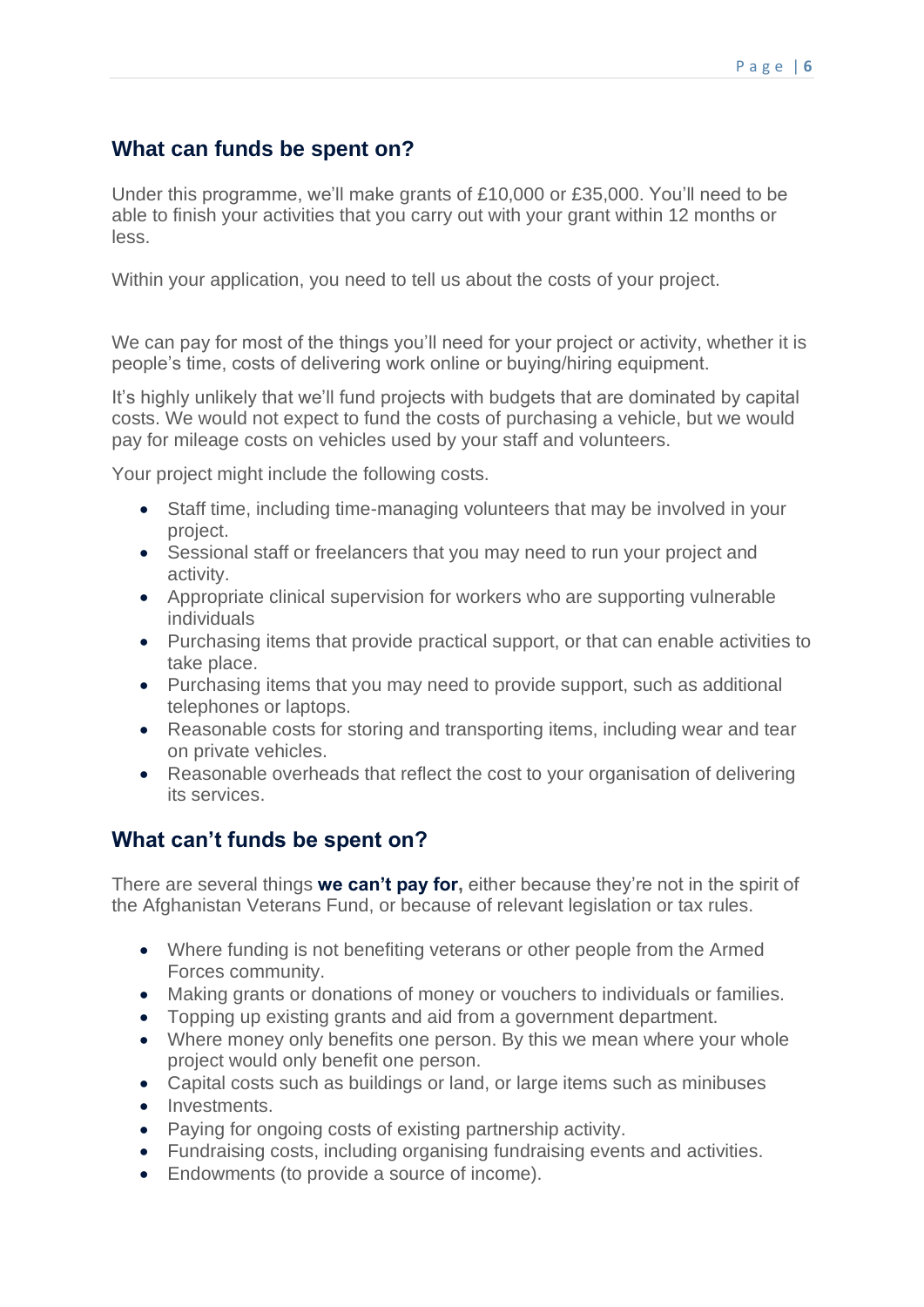## **What can funds be spent on?**

 Under this programme, we'll make grants of £10,000 or £35,000. You'll need to be able to finish your activities that you carry out with your grant within 12 months or less.

Within your application, you need to tell us about the costs of your project.

 We can pay for most of the things you'll need for your project or activity, whether it is people's time, costs of delivering work online or buying/hiring equipment.

 It's highly unlikely that we'll fund projects with budgets that are dominated by capital costs. We would not expect to fund the costs of purchasing a vehicle, but we would pay for mileage costs on vehicles used by your staff and volunteers.

Your project might include the following costs.

- • Staff time, including time-managing volunteers that may be involved in your project.
- • Sessional staff or freelancers that you may need to run your project and activity.
- • Appropriate clinical supervision for workers who are supporting vulnerable individuals
- • Purchasing items that provide practical support, or that can enable activities to take place.
- • Purchasing items that you may need to provide support, such as additional telephones or laptops.
- • Reasonable costs for storing and transporting items, including wear and tear on private vehicles.
- • Reasonable overheads that reflect the cost to your organisation of delivering its services.

## **What can't funds be spent on?**

 There are several things **we can't pay for,** either because they're not in the spirit of the Afghanistan Veterans Fund, or because of relevant legislation or tax rules.

- • Where funding is not benefiting veterans or other people from the Armed Forces community.
- Making grants or donations of money or vouchers to individuals or families.
- Topping up existing grants and aid from a government department.
- • Where money only benefits one person. By this we mean where your whole project would only benefit one person.
- Capital costs such as buildings or land, or large items such as minibuses
- Investments.
- Paying for ongoing costs of existing partnership activity.
- Fundraising costs, including organising fundraising events and activities.
- Endowments (to provide a source of income).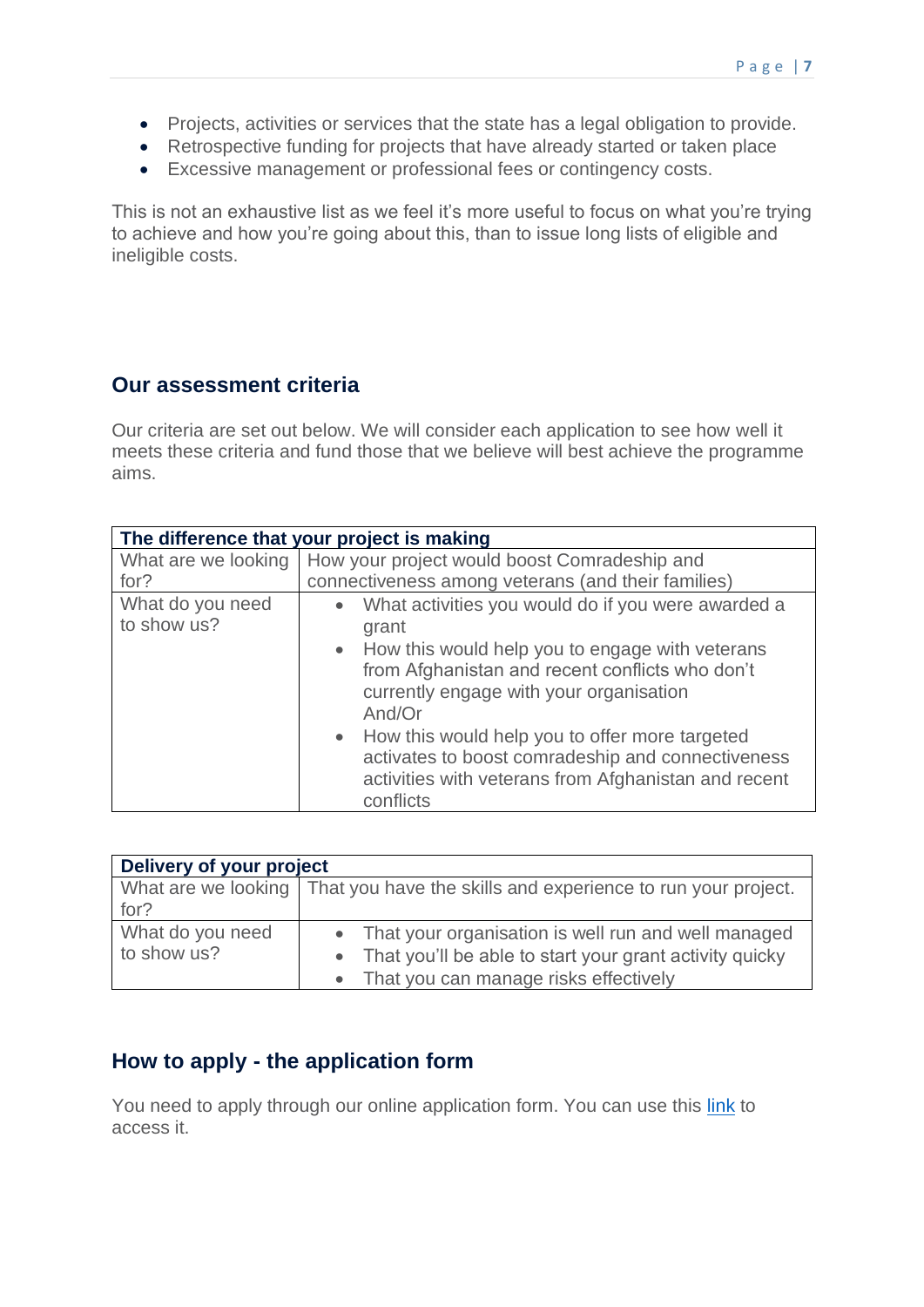- Projects, activities or services that the state has a legal obligation to provide.
- Retrospective funding for projects that have already started or taken place
- Excessive management or professional fees or contingency costs.

 This is not an exhaustive list as we feel it's more useful to focus on what you're trying to achieve and how you're going about this, than to issue long lists of eligible and ineligible costs.

## **Our assessment criteria**

 Our criteria are set out below. We will consider each application to see how well it meets these criteria and fund those that we believe will best achieve the programme aims.

| The difference that your project is making |                                                                                                                                                                                                                          |  |
|--------------------------------------------|--------------------------------------------------------------------------------------------------------------------------------------------------------------------------------------------------------------------------|--|
| What are we looking                        | How your project would boost Comradeship and                                                                                                                                                                             |  |
| for?                                       | connectiveness among veterans (and their families)                                                                                                                                                                       |  |
| What do you need<br>to show us?            | What activities you would do if you were awarded a<br>grant<br>• How this would help you to engage with veterans<br>from Afghanistan and recent conflicts who don't<br>currently engage with your organisation<br>And/Or |  |
|                                            | • How this would help you to offer more targeted<br>activates to boost comradeship and connectiveness<br>activities with veterans from Afghanistan and recent<br>conflicts                                               |  |

| Delivery of your project        |                                                                                                                                                               |  |
|---------------------------------|---------------------------------------------------------------------------------------------------------------------------------------------------------------|--|
| for?                            | What are we looking   That you have the skills and experience to run your project.                                                                            |  |
| What do you need<br>to show us? | • That your organisation is well run and well managed<br>• That you'll be able to start your grant activity quicky<br>• That you can manage risks effectively |  |

## **How to apply - the application form**

You need to apply through our online application form. You can use this [link](https://www.grantrequest.co.uk/SID_109?SA=SNA&FID=35236) to access it.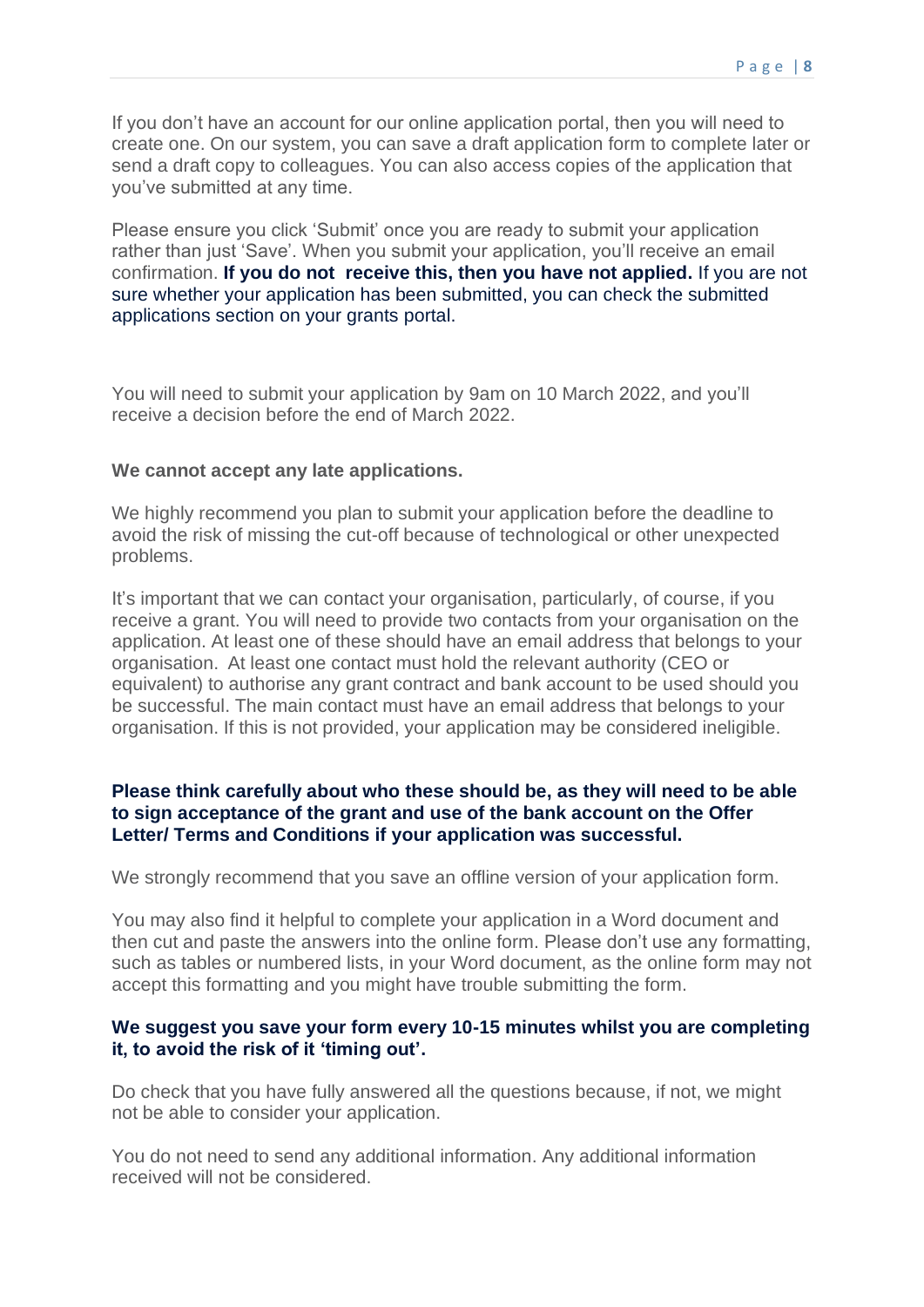If you don't have an account for our online application portal, then you will need to create one. On our system, you can save a draft application form to complete later or send a draft copy to colleagues. You can also access copies of the application that you've submitted at any time.

 Please ensure you click 'Submit' once you are ready to submit your application rather than just 'Save'. When you submit your application, you'll receive an email  confirmation. **If you do not receive this, then you have not applied.** If you are not sure whether your application has been submitted, you can check the submitted applications section on your grants portal.

 You will need to submit your application by 9am on 10 March 2022, and you'll receive a decision before the end of March 2022.

#### **We cannot accept any late applications.**

 We highly recommend you plan to submit your application before the deadline to avoid the risk of missing the cut-off because of technological or other unexpected problems.

 It's important that we can contact your organisation, particularly, of course, if you receive a grant. You will need to provide two contacts from your organisation on the application. At least one of these should have an email address that belongs to your organisation. At least one contact must hold the relevant authority (CEO or equivalent) to authorise any grant contract and bank account to be used should you be successful. The main contact must have an email address that belongs to your organisation. If this is not provided, your application may be considered ineligible.

#### **Please think carefully about who these should be, as they will need to be able to sign acceptance of the grant and use of the bank account on the Offer Letter/ Terms and Conditions if your application was successful.**

We strongly recommend that you save an offline version of your application form.

 You may also find it helpful to complete your application in a Word document and then cut and paste the answers into the online form. Please don't use any formatting, such as tables or numbered lists, in your Word document, as the online form may not accept this formatting and you might have trouble submitting the form.

#### **We suggest you save your form every 10-15 minutes whilst you are completing it, to avoid the risk of it 'timing out'.**

 Do check that you have fully answered all the questions because, if not, we might not be able to consider your application.

 You do not need to send any additional information. Any additional information received will not be considered.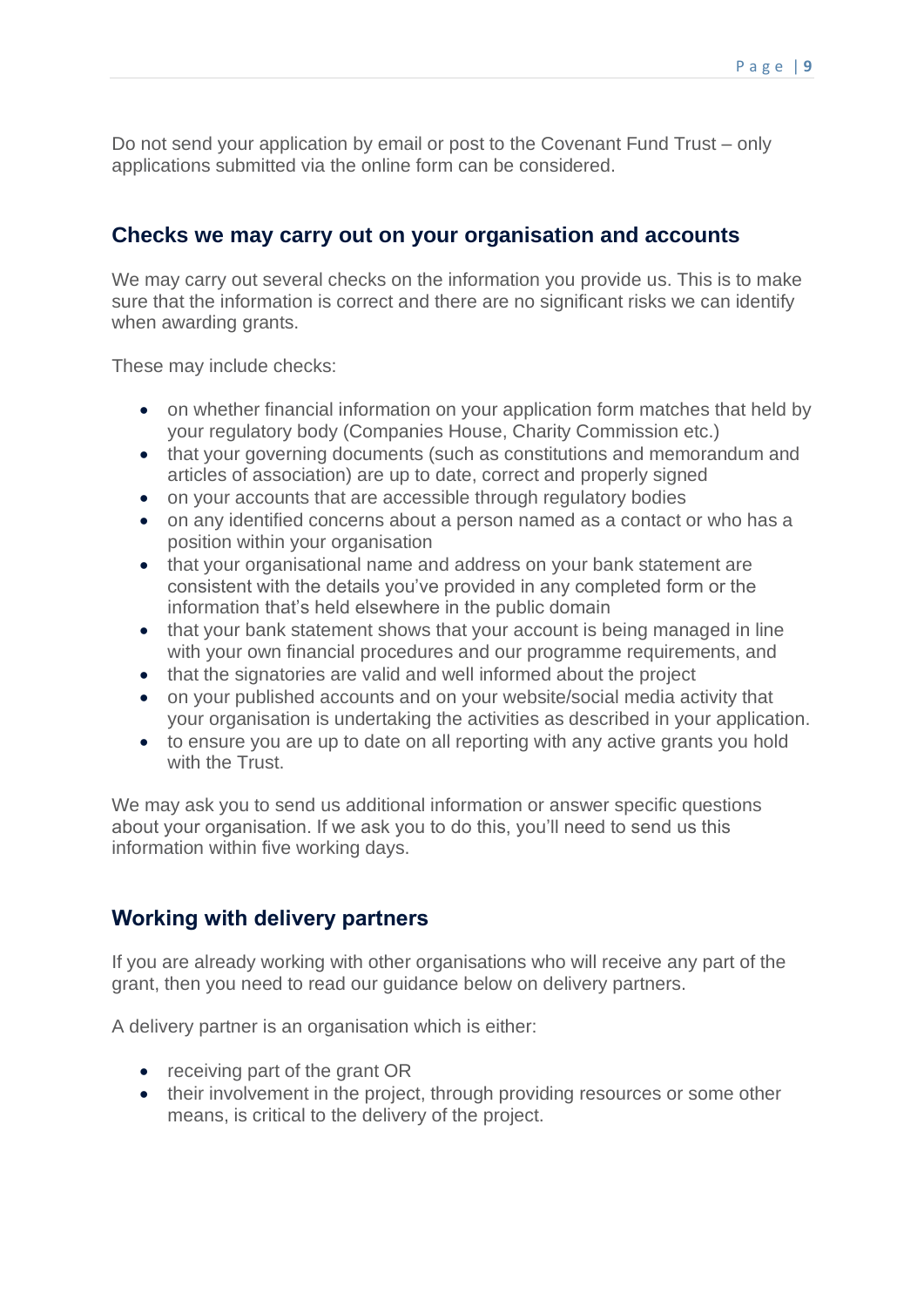Do not send your application by email or post to the Covenant Fund Trust – only applications submitted via the online form can be considered.

## **Checks we may carry out on your organisation and accounts**

 We may carry out several checks on the information you provide us. This is to make sure that the information is correct and there are no significant risks we can identify when awarding grants.

These may include checks:

- • on whether financial information on your application form matches that held by your regulatory body (Companies House, Charity Commission etc.)
- articles of association) are up to date, correct and properly signed • that your governing documents (such as constitutions and memorandum and
- on your accounts that are accessible through regulatory bodies
- • on any identified concerns about a person named as a contact or who has a position within your organisation
- • that your organisational name and address on your bank statement are consistent with the details you've provided in any completed form or the information that's held elsewhere in the public domain
- • that your bank statement shows that your account is being managed in line with your own financial procedures and our programme requirements, and
- that the signatories are valid and well informed about the project
- • on your published accounts and on your website/social media activity that your organisation is undertaking the activities as described in your application.
- • to ensure you are up to date on all reporting with any active grants you hold with the Trust.

 We may ask you to send us additional information or answer specific questions about your organisation. If we ask you to do this, you'll need to send us this information within five working days.

## **Working with delivery partners**

 If you are already working with other organisations who will receive any part of the grant, then you need to read our guidance below on delivery partners.

A delivery partner is an organisation which is either:

- receiving part of the grant OR
- • their involvement in the project, through providing resources or some other means, is critical to the delivery of the project.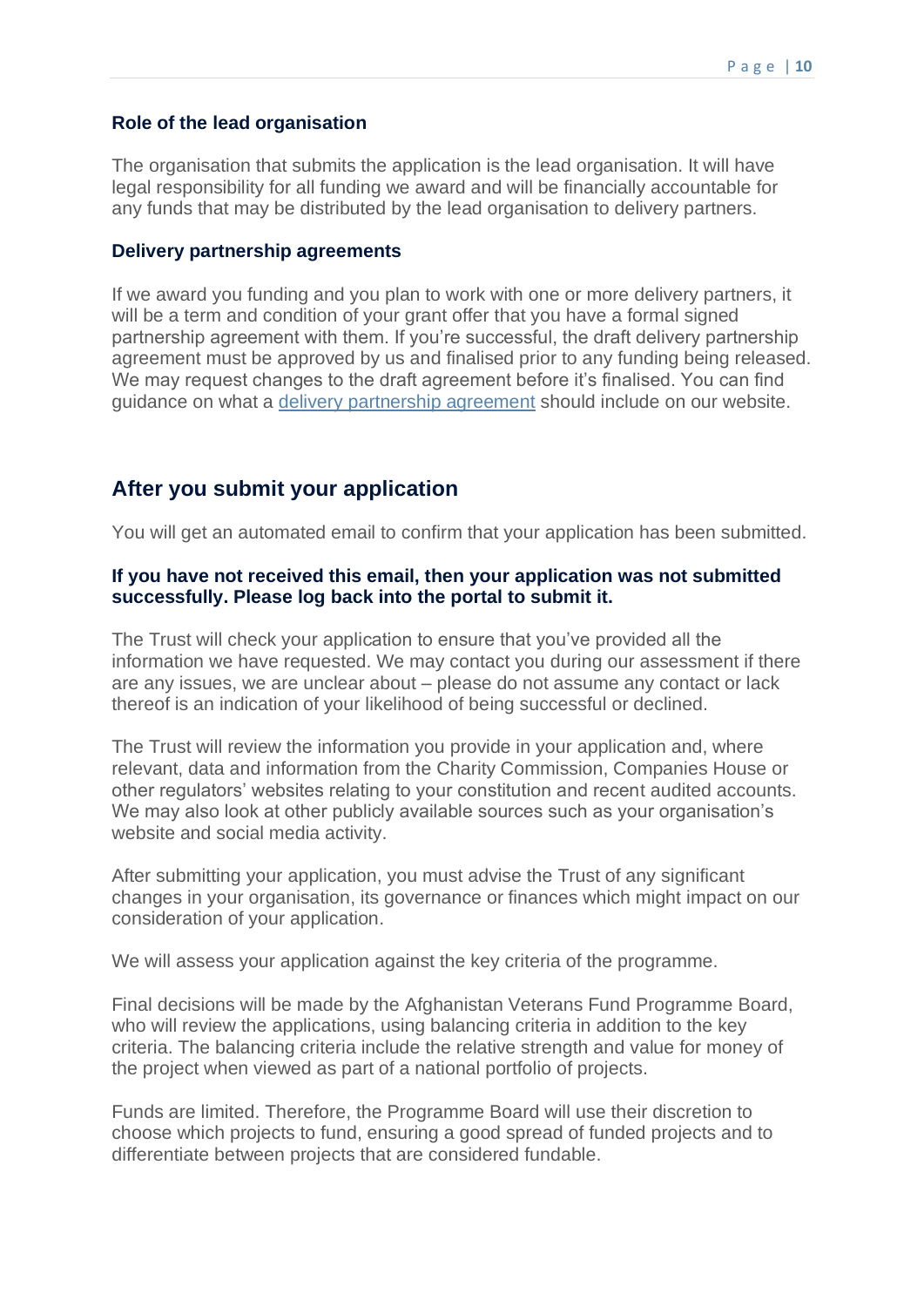#### **Role of the lead organisation**

 The organisation that submits the application is the lead organisation. It will have legal responsibility for all funding we award and will be financially accountable for any funds that may be distributed by the lead organisation to delivery partners.

#### **Delivery partnership agreements**

 If we award you funding and you plan to work with one or more delivery partners, it will be a term and condition of your grant offer that you have a formal signed partnership agreement with them. If you're successful, the draft delivery partnership agreement must be approved by us and finalised prior to any funding being released. We may request changes to the draft agreement before it's finalised. You can find guidance on what a *delivery partnership agreement* should include on our website.

#### **After you submit your application**

You will get an automated email to confirm that your application has been submitted.

#### **If you have not received this email, then your application was not submitted successfully. Please log back into the portal to submit it.**

 The Trust will check your application to ensure that you've provided all the information we have requested. We may contact you during our assessment if there are any issues, we are unclear about – please do not assume any contact or lack thereof is an indication of your likelihood of being successful or declined.

 The Trust will review the information you provide in your application and, where relevant, data and information from the Charity Commission, Companies House or other regulators' websites relating to your constitution and recent audited accounts. We may also look at other publicly available sources such as your organisation's website and social media activity.

 After submitting your application, you must advise the Trust of any significant changes in your organisation, its governance or finances which might impact on our consideration of your application.

We will assess your application against the key criteria of the programme.

 Final decisions will be made by the Afghanistan Veterans Fund Programme Board, who will review the applications, using balancing criteria in addition to the key criteria. The balancing criteria include the relative strength and value for money of the project when viewed as part of a national portfolio of projects.

 Funds are limited. Therefore, the Programme Board will use their discretion to choose which projects to fund, ensuring a good spread of funded projects and to differentiate between projects that are considered fundable.